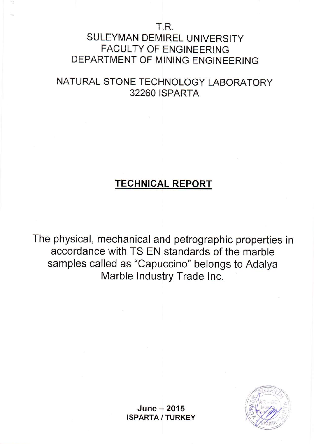## t-.R. SULEYMAN DEMIREL UNIVERSITY FACULTY OF ENGINEERING DEPARTMENT OF MINING ENGINEERING

# NATURAL STONE TECHNOLOGY LABORATORY 32260 ISPARTA

# TECHNICAL REPORT

The physical, mechanical and petrographic properties in accordance with TS EN standards of the marble samples called as "Capuccino" belongs to Adalya Marble Industry Trade Inc.



 $June - 2015$ ISPARTA / TURKEY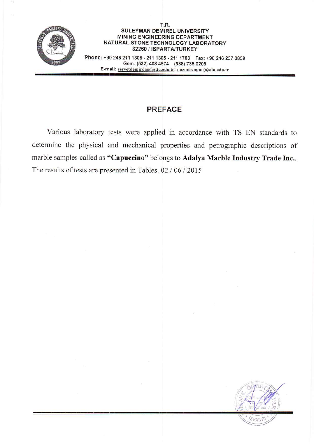

#### T.R. SULEYMAN DEMIREL UNIVERSITY MINING ENGINEERING DEPARTMENT NATURAL STONE TECHNOLOGY LABORATORY 32260 / ISPARTA/TURKEY Phone: +90 246 211 1308 - 211 1305 - 211 1703 Fax: +90 246 237 0859

Gsm: (532) 408 4974 (538) 735 0209 E-mail : servetdemirdag@sdu.edu.tr; nazmisengun@sdu.edu.tr

# PREFACE

Various laboratory tests were applied in accordance with TS EN standards to determine the physical and mechanical properties and petrographic descriptions of marble samples called as "Capuccino" belongs to Adalya Marble Industry Trade Inc.. The results of tests are presented in Tables.  $02 / 06 / 2015$